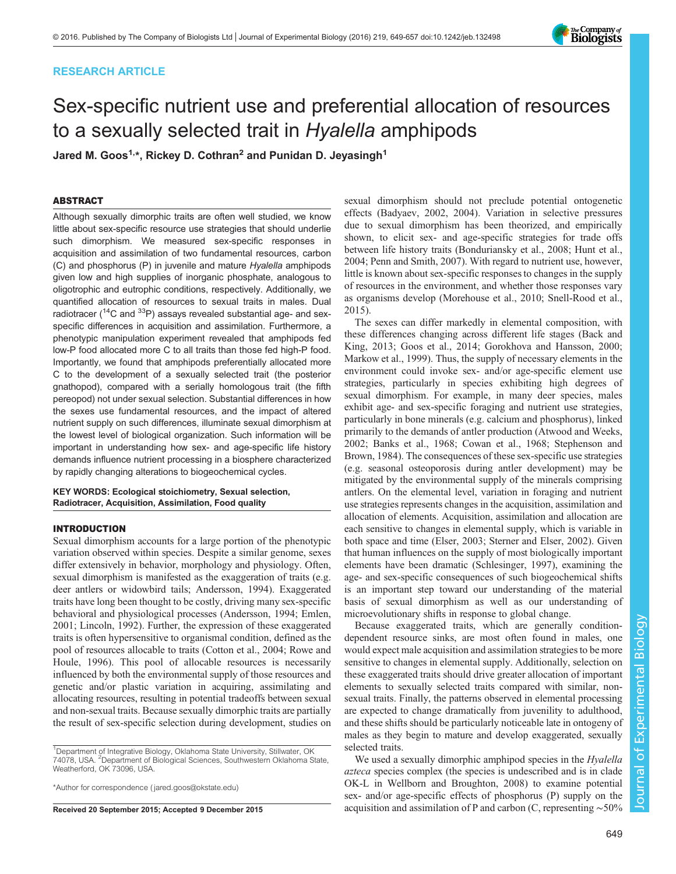## RESEARCH ARTICLE

# Sex-specific nutrient use and preferential allocation of resources to a sexually selected trait in Hyalella amphipods

Jared M. Goos<sup>1,\*</sup>, Rickey D. Cothran<sup>2</sup> and Punidan D. Jeyasingh<sup>1</sup>

## ABSTRACT

Although sexually dimorphic traits are often well studied, we know little about sex-specific resource use strategies that should underlie such dimorphism. We measured sex-specific responses in acquisition and assimilation of two fundamental resources, carbon (C) and phosphorus (P) in juvenile and mature Hyalella amphipods given low and high supplies of inorganic phosphate, analogous to oligotrophic and eutrophic conditions, respectively. Additionally, we quantified allocation of resources to sexual traits in males. Dual radiotracer (<sup>14</sup>C and <sup>33</sup>P) assays revealed substantial age- and sexspecific differences in acquisition and assimilation. Furthermore, a phenotypic manipulation experiment revealed that amphipods fed low-P food allocated more C to all traits than those fed high-P food. Importantly, we found that amphipods preferentially allocated more C to the development of a sexually selected trait (the posterior gnathopod), compared with a serially homologous trait (the fifth pereopod) not under sexual selection. Substantial differences in how the sexes use fundamental resources, and the impact of altered nutrient supply on such differences, illuminate sexual dimorphism at the lowest level of biological organization. Such information will be important in understanding how sex- and age-specific life history demands influence nutrient processing in a biosphere characterized by rapidly changing alterations to biogeochemical cycles.

#### KEY WORDS: Ecological stoichiometry, Sexual selection, Radiotracer, Acquisition, Assimilation, Food quality

## INTRODUCTION

Sexual dimorphism accounts for a large portion of the phenotypic variation observed within species. Despite a similar genome, sexes differ extensively in behavior, morphology and physiology. Often, sexual dimorphism is manifested as the exaggeration of traits (e.g. deer antlers or widowbird tails; [Andersson, 1994\)](#page-7-0). Exaggerated traits have long been thought to be costly, driving many sex-specific behavioral and physiological processes ([Andersson, 1994](#page-7-0); [Emlen,](#page-7-0) [2001](#page-7-0); [Lincoln, 1992\)](#page-7-0). Further, the expression of these exaggerated traits is often hypersensitive to organismal condition, defined as the pool of resources allocable to traits [\(Cotton et al., 2004; Rowe and](#page-7-0) [Houle, 1996\)](#page-7-0). This pool of allocable resources is necessarily influenced by both the environmental supply of those resources and genetic and/or plastic variation in acquiring, assimilating and allocating resources, resulting in potential tradeoffs between sexual and non-sexual traits. Because sexually dimorphic traits are partially the result of sex-specific selection during development, studies on

<sup>1</sup>Department of Integrative Biology, Oklahoma State University, Stillwater, OK 74078, USA. <sup>2</sup> Department of Biological Sciences, Southwestern Oklahoma State, Weatherford, OK 73096, USA.

\*Author for correspondence [\( jared.goos@okstate.edu](mailto:jared.goos@okstate.edu))

sexual dimorphism should not preclude potential ontogenetic effects ([Badyaev, 2002, 2004\)](#page-7-0). Variation in selective pressures due to sexual dimorphism has been theorized, and empirically shown, to elicit sex- and age-specific strategies for trade offs between life history traits ([Bonduriansky et al., 2008; Hunt et al.,](#page-7-0) [2004; Penn and Smith, 2007](#page-7-0)). With regard to nutrient use, however, little is known about sex-specific responses to changes in the supply of resources in the environment, and whether those responses vary as organisms develop [\(Morehouse et al., 2010;](#page-7-0) [Snell-Rood et al.,](#page-8-0) [2015\)](#page-8-0).

The sexes can differ markedly in elemental composition, with these differences changing across different life stages [\(Back and](#page-7-0) [King, 2013](#page-7-0); [Goos et al., 2014; Gorokhova and Hansson, 2000](#page-7-0); [Markow et al., 1999](#page-7-0)). Thus, the supply of necessary elements in the environment could invoke sex- and/or age-specific element use strategies, particularly in species exhibiting high degrees of sexual dimorphism. For example, in many deer species, males exhibit age- and sex-specific foraging and nutrient use strategies, particularly in bone minerals (e.g. calcium and phosphorus), linked primarily to the demands of antler production ([Atwood and Weeks,](#page-7-0) [2002; Banks et al., 1968; Cowan et al., 1968](#page-7-0); [Stephenson and](#page-8-0) [Brown, 1984\)](#page-8-0). The consequences of these sex-specific use strategies (e.g. seasonal osteoporosis during antler development) may be mitigated by the environmental supply of the minerals comprising antlers. On the elemental level, variation in foraging and nutrient use strategies represents changes in the acquisition, assimilation and allocation of elements. Acquisition, assimilation and allocation are each sensitive to changes in elemental supply, which is variable in both space and time [\(Elser, 2003;](#page-7-0) [Sterner and Elser, 2002\)](#page-8-0). Given that human influences on the supply of most biologically important elements have been dramatic ([Schlesinger, 1997\)](#page-8-0), examining the age- and sex-specific consequences of such biogeochemical shifts is an important step toward our understanding of the material basis of sexual dimorphism as well as our understanding of microevolutionary shifts in response to global change.

Because exaggerated traits, which are generally conditiondependent resource sinks, are most often found in males, one would expect male acquisition and assimilation strategies to be more sensitive to changes in elemental supply. Additionally, selection on these exaggerated traits should drive greater allocation of important elements to sexually selected traits compared with similar, nonsexual traits. Finally, the patterns observed in elemental processing are expected to change dramatically from juvenility to adulthood, and these shifts should be particularly noticeable late in ontogeny of males as they begin to mature and develop exaggerated, sexually selected traits.

We used a sexually dimorphic amphipod species in the *Hyalella* azteca species complex (the species is undescribed and is in clade OK-L in [Wellborn and Broughton, 2008](#page-8-0)) to examine potential sex- and/or age-specific effects of phosphorus (P) supply on the Received 20 September 2015; Accepted 9 December 2015 acquisition and assimilation of P and carbon (C, representing ∼50%

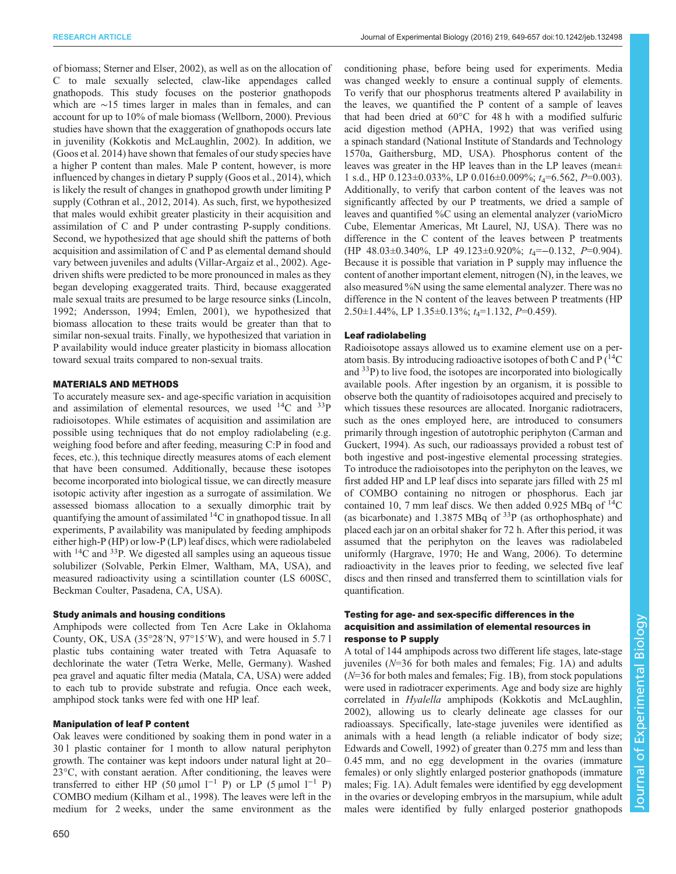of biomass; [Sterner and Elser, 2002\)](#page-8-0), as well as on the allocation of C to male sexually selected, claw-like appendages called gnathopods. This study focuses on the posterior gnathopods which are ∼15 times larger in males than in females, and can account for up to 10% of male biomass ([Wellborn, 2000](#page-8-0)). Previous studies have shown that the exaggeration of gnathopods occurs late in juvenility [\(Kokkotis and McLaughlin, 2002\)](#page-7-0). In addition, we [\(Goos et al. 2014](#page-7-0)) have shown that females of our study species have a higher P content than males. Male P content, however, is more influenced by changes in dietary P supply [\(Goos et al., 2014\)](#page-7-0), which is likely the result of changes in gnathopod growth under limiting P supply ([Cothran et al., 2012](#page-7-0), [2014\)](#page-7-0). As such, first, we hypothesized that males would exhibit greater plasticity in their acquisition and assimilation of C and P under contrasting P-supply conditions. Second, we hypothesized that age should shift the patterns of both acquisition and assimilation of C and P as elemental demand should vary between juveniles and adults ([Villar-Argaiz et al., 2002\)](#page-8-0). Agedriven shifts were predicted to be more pronounced in males as they began developing exaggerated traits. Third, because exaggerated male sexual traits are presumed to be large resource sinks [\(Lincoln,](#page-7-0) [1992](#page-7-0); [Andersson, 1994; Emlen, 2001\)](#page-7-0), we hypothesized that biomass allocation to these traits would be greater than that to similar non-sexual traits. Finally, we hypothesized that variation in P availability would induce greater plasticity in biomass allocation toward sexual traits compared to non-sexual traits.

#### MATERIALS AND METHODS

To accurately measure sex- and age-specific variation in acquisition and assimilation of elemental resources, we used  $^{14}$ C and  $^{33}$ P radioisotopes. While estimates of acquisition and assimilation are possible using techniques that do not employ radiolabeling (e.g. weighing food before and after feeding, measuring C:P in food and feces, etc.), this technique directly measures atoms of each element that have been consumed. Additionally, because these isotopes become incorporated into biological tissue, we can directly measure isotopic activity after ingestion as a surrogate of assimilation. We assessed biomass allocation to a sexually dimorphic trait by quantifying the amount of assimilated 14C in gnathopod tissue. In all experiments, P availability was manipulated by feeding amphipods either high-P (HP) or low-P (LP) leaf discs, which were radiolabeled with  $^{14}$ C and  $^{33}$ P. We digested all samples using an aqueous tissue solubilizer (Solvable, Perkin Elmer, Waltham, MA, USA), and measured radioactivity using a scintillation counter (LS 600SC, Beckman Coulter, Pasadena, CA, USA).

### Study animals and housing conditions

Amphipods were collected from Ten Acre Lake in Oklahoma County, OK, USA (35°28′N, 97°15′W), and were housed in 5.7 l plastic tubs containing water treated with Tetra Aquasafe to dechlorinate the water (Tetra Werke, Melle, Germany). Washed pea gravel and aquatic filter media (Matala, CA, USA) were added to each tub to provide substrate and refugia. Once each week, amphipod stock tanks were fed with one HP leaf.

#### Manipulation of leaf P content

Oak leaves were conditioned by soaking them in pond water in a 30 l plastic container for 1 month to allow natural periphyton growth. The container was kept indoors under natural light at 20– 23°C, with constant aeration. After conditioning, the leaves were transferred to either HP (50 µmol  $l^{-1}$  P) or LP (5 µmol  $l^{-1}$  P) COMBO medium [\(Kilham et al., 1998\)](#page-7-0). The leaves were left in the medium for 2 weeks, under the same environment as the

650

conditioning phase, before being used for experiments. Media was changed weekly to ensure a continual supply of elements. To verify that our phosphorus treatments altered P availability in the leaves, we quantified the P content of a sample of leaves that had been dried at 60°C for 48 h with a modified sulfuric acid digestion method [\(APHA, 1992\)](#page-7-0) that was verified using a spinach standard (National Institute of Standards and Technology 1570a, Gaithersburg, MD, USA). Phosphorus content of the leaves was greater in the HP leaves than in the LP leaves (mean± 1 s.d., HP  $0.123 \pm 0.033\%$ , LP  $0.016 \pm 0.009\%$ ;  $t_4 = 6.562$ ,  $P = 0.003$ ). Additionally, to verify that carbon content of the leaves was not significantly affected by our P treatments, we dried a sample of leaves and quantified %C using an elemental analyzer (varioMicro Cube, Elementar Americas, Mt Laurel, NJ, USA). There was no difference in the C content of the leaves between P treatments (HP  $48.03\pm0.340\%$ , LP  $49.123\pm0.920\%$ ;  $t_4=-0.132$ ,  $P=0.904$ ). Because it is possible that variation in P supply may influence the content of another important element, nitrogen (N), in the leaves, we also measured %N using the same elemental analyzer. There was no difference in the N content of the leaves between P treatments (HP  $2.50\pm1.44\%$ , LP  $1.35\pm0.13\%$ ;  $t_4=1.132$ ,  $P=0.459$ ).

#### Leaf radiolabeling

Radioisotope assays allowed us to examine element use on a peratom basis. By introducing radioactive isotopes of both C and  $P(^{14}C)$ and  $33P$ ) to live food, the isotopes are incorporated into biologically available pools. After ingestion by an organism, it is possible to observe both the quantity of radioisotopes acquired and precisely to which tissues these resources are allocated. Inorganic radiotracers, such as the ones employed here, are introduced to consumers primarily through ingestion of autotrophic periphyton [\(Carman and](#page-7-0) [Guckert, 1994](#page-7-0)). As such, our radioassays provided a robust test of both ingestive and post-ingestive elemental processing strategies. To introduce the radioisotopes into the periphyton on the leaves, we first added HP and LP leaf discs into separate jars filled with 25 ml of COMBO containing no nitrogen or phosphorus. Each jar contained 10, 7 mm leaf discs. We then added 0.925 MBq of  $^{14}$ C (as bicarbonate) and 1.3875 MBq of 33P (as orthophosphate) and placed each jar on an orbital shaker for 72 h. After this period, it was assumed that the periphyton on the leaves was radiolabeled uniformly ([Hargrave, 1970](#page-7-0); [He and Wang, 2006\)](#page-7-0). To determine radioactivity in the leaves prior to feeding, we selected five leaf discs and then rinsed and transferred them to scintillation vials for quantification.

## Testing for age- and sex-specific differences in the acquisition and assimilation of elemental resources in response to P supply

A total of 144 amphipods across two different life stages, late-stage juveniles  $(N=36$  for both males and females; [Fig. 1](#page-2-0)A) and adults  $(N=36$  for both males and females; [Fig. 1B](#page-2-0)), from stock populations were used in radiotracer experiments. Age and body size are highly correlated in Hyalella amphipods ([Kokkotis and McLaughlin,](#page-7-0) [2002\)](#page-7-0), allowing us to clearly delineate age classes for our radioassays. Specifically, late-stage juveniles were identified as animals with a head length (a reliable indicator of body size; [Edwards and Cowell, 1992](#page-7-0)) of greater than 0.275 mm and less than 0.45 mm, and no egg development in the ovaries (immature females) or only slightly enlarged posterior gnathopods (immature males; [Fig. 1A](#page-2-0)). Adult females were identified by egg development in the ovaries or developing embryos in the marsupium, while adult males were identified by fully enlarged posterior gnathopods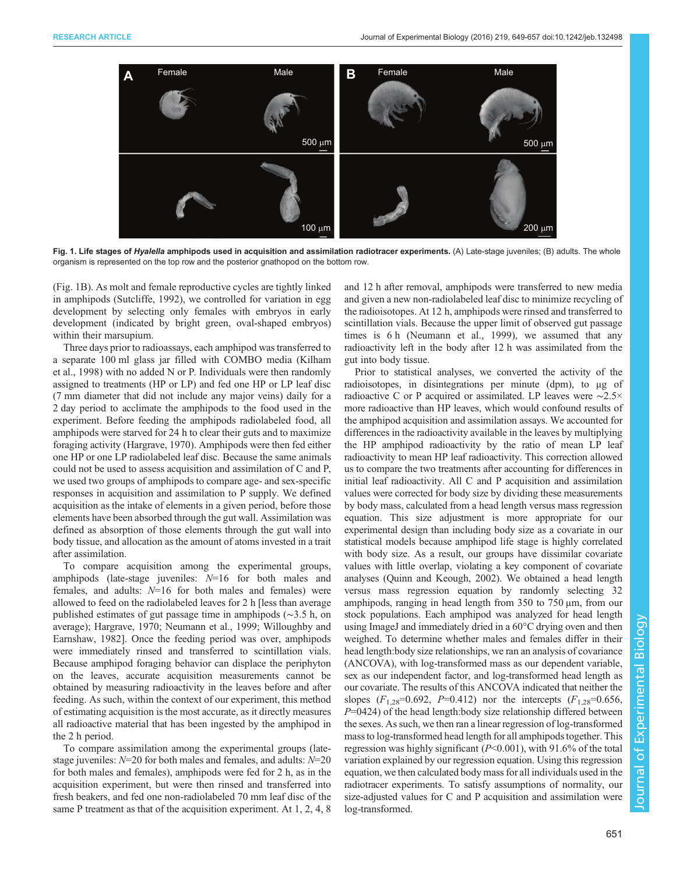<span id="page-2-0"></span>

Fig. 1. Life stages of Hyalella amphipods used in acquisition and assimilation radiotracer experiments. (A) Late-stage juveniles; (B) adults. The whole organism is represented on the top row and the posterior gnathopod on the bottom row.

(Fig. 1B). As molt and female reproductive cycles are tightly linked in amphipods ([Sutcliffe, 1992\)](#page-8-0), we controlled for variation in egg development by selecting only females with embryos in early development (indicated by bright green, oval-shaped embryos) within their marsupium.

Three days prior to radioassays, each amphipod was transferred to a separate 100 ml glass jar filled with COMBO media ([Kilham](#page-7-0) [et al., 1998\)](#page-7-0) with no added N or P. Individuals were then randomly assigned to treatments (HP or LP) and fed one HP or LP leaf disc (7 mm diameter that did not include any major veins) daily for a 2 day period to acclimate the amphipods to the food used in the experiment. Before feeding the amphipods radiolabeled food, all amphipods were starved for 24 h to clear their guts and to maximize foraging activity ([Hargrave, 1970\)](#page-7-0). Amphipods were then fed either one HP or one LP radiolabeled leaf disc. Because the same animals could not be used to assess acquisition and assimilation of C and P, we used two groups of amphipods to compare age- and sex-specific responses in acquisition and assimilation to P supply. We defined acquisition as the intake of elements in a given period, before those elements have been absorbed through the gut wall. Assimilation was defined as absorption of those elements through the gut wall into body tissue, and allocation as the amount of atoms invested in a trait after assimilation.

To compare acquisition among the experimental groups, amphipods (late-stage juveniles:  $N=16$  for both males and females, and adults:  $N=16$  for both males and females) were allowed to feed on the radiolabeled leaves for 2 h [less than average published estimates of gut passage time in amphipods (∼3.5 h, on average); [Hargrave, 1970](#page-7-0); [Neumann et al., 1999;](#page-7-0) [Willoughby and](#page-8-0) [Earnshaw, 1982\]](#page-8-0). Once the feeding period was over, amphipods were immediately rinsed and transferred to scintillation vials. Because amphipod foraging behavior can displace the periphyton on the leaves, accurate acquisition measurements cannot be obtained by measuring radioactivity in the leaves before and after feeding. As such, within the context of our experiment, this method of estimating acquisition is the most accurate, as it directly measures all radioactive material that has been ingested by the amphipod in the 2 h period.

To compare assimilation among the experimental groups (latestage juveniles:  $N=20$  for both males and females, and adults:  $N=20$ for both males and females), amphipods were fed for 2 h, as in the acquisition experiment, but were then rinsed and transferred into fresh beakers, and fed one non-radiolabeled 70 mm leaf disc of the same P treatment as that of the acquisition experiment. At 1, 2, 4, 8 and 12 h after removal, amphipods were transferred to new media and given a new non-radiolabeled leaf disc to minimize recycling of the radioisotopes. At 12 h, amphipods were rinsed and transferred to scintillation vials. Because the upper limit of observed gut passage times is 6 h ([Neumann et al., 1999\)](#page-7-0), we assumed that any radioactivity left in the body after 12 h was assimilated from the gut into body tissue.

Prior to statistical analyses, we converted the activity of the radioisotopes, in disintegrations per minute (dpm), to μg of radioactive C or P acquired or assimilated. LP leaves were ∼2.5× more radioactive than HP leaves, which would confound results of the amphipod acquisition and assimilation assays. We accounted for differences in the radioactivity available in the leaves by multiplying the HP amphipod radioactivity by the ratio of mean LP leaf radioactivity to mean HP leaf radioactivity. This correction allowed us to compare the two treatments after accounting for differences in initial leaf radioactivity. All C and P acquisition and assimilation values were corrected for body size by dividing these measurements by body mass, calculated from a head length versus mass regression equation. This size adjustment is more appropriate for our experimental design than including body size as a covariate in our statistical models because amphipod life stage is highly correlated with body size. As a result, our groups have dissimilar covariate values with little overlap, violating a key component of covariate analyses [\(Quinn and Keough, 2002\)](#page-7-0). We obtained a head length versus mass regression equation by randomly selecting 32 amphipods, ranging in head length from 350 to 750 μm, from our stock populations. Each amphipod was analyzed for head length using ImageJ and immediately dried in a 60°C drying oven and then weighed. To determine whether males and females differ in their head length:body size relationships, we ran an analysis of covariance (ANCOVA), with log-transformed mass as our dependent variable, sex as our independent factor, and log-transformed head length as our covariate. The results of this ANCOVA indicated that neither the slopes ( $F_{1,28}=0.692$ ,  $P=0.412$ ) nor the intercepts ( $F_{1,28}=0.656$ ,  $P=0424$ ) of the head length:body size relationship differed between the sexes. As such, we then ran a linear regression of log-transformed mass to log-transformed head length for all amphipods together. This regression was highly significant  $(P<0.001)$ , with 91.6% of the total variation explained by our regression equation. Using this regression equation, we then calculated body mass for all individuals used in the radiotracer experiments. To satisfy assumptions of normality, our size-adjusted values for C and P acquisition and assimilation were log-transformed.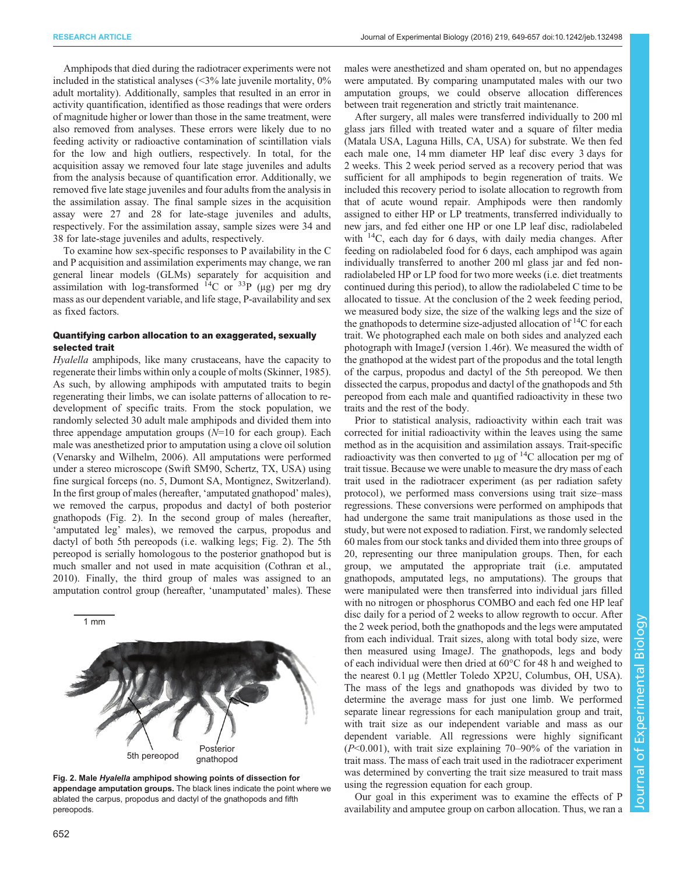males were anesthetized and sham operated on, but no appendages were amputated. By comparing unamputated males with our two amputation groups, we could observe allocation differences

between trait regeneration and strictly trait maintenance.

Amphipods that died during the radiotracer experiments were not included in the statistical analyses  $\langle 3\%$  late juvenile mortality, 0% adult mortality). Additionally, samples that resulted in an error in activity quantification, identified as those readings that were orders of magnitude higher or lower than those in the same treatment, were also removed from analyses. These errors were likely due to no feeding activity or radioactive contamination of scintillation vials for the low and high outliers, respectively. In total, for the acquisition assay we removed four late stage juveniles and adults from the analysis because of quantification error. Additionally, we removed five late stage juveniles and four adults from the analysis in the assimilation assay. The final sample sizes in the acquisition assay were 27 and 28 for late-stage juveniles and adults, respectively. For the assimilation assay, sample sizes were 34 and 38 for late-stage juveniles and adults, respectively.

To examine how sex-specific responses to P availability in the C and P acquisition and assimilation experiments may change, we ran general linear models (GLMs) separately for acquisition and assimilation with log-transformed  $^{14}$ C or  $^{33}$ P (μg) per mg dry mass as our dependent variable, and life stage, P-availability and sex as fixed factors.

#### Quantifying carbon allocation to an exaggerated, sexually selected trait

Hyalella amphipods, like many crustaceans, have the capacity to regenerate their limbs within only a couple of molts [\(Skinner, 1985\)](#page-8-0). As such, by allowing amphipods with amputated traits to begin regenerating their limbs, we can isolate patterns of allocation to redevelopment of specific traits. From the stock population, we randomly selected 30 adult male amphipods and divided them into three appendage amputation groups  $(N=10$  for each group). Each male was anesthetized prior to amputation using a clove oil solution [\(Venarsky and Wilhelm, 2006](#page-8-0)). All amputations were performed under a stereo microscope (Swift SM90, Schertz, TX, USA) using fine surgical forceps (no. 5, Dumont SA, Montignez, Switzerland). In the first group of males (hereafter, 'amputated gnathopod' males), we removed the carpus, propodus and dactyl of both posterior gnathopods (Fig. 2). In the second group of males (hereafter, 'amputated leg' males), we removed the carpus, propodus and dactyl of both 5th pereopods (i.e. walking legs; Fig. 2). The 5th pereopod is serially homologous to the posterior gnathopod but is much smaller and not used in mate acquisition [\(Cothran et al.,](#page-7-0) [2010](#page-7-0)). Finally, the third group of males was assigned to an amputation control group (hereafter, 'unamputated' males). These



Fig. 2. Male Hyalella amphipod showing points of dissection for appendage amputation groups. The black lines indicate the point where we ablated the carpus, propodus and dactyl of the gnathopods and fifth pereopods.

trait tissue. Because we were unable to measure the dry mass of each

trait used in the radiotracer experiment (as per radiation safety protocol), we performed mass conversions using trait size–mass regressions. These conversions were performed on amphipods that had undergone the same trait manipulations as those used in the study, but were not exposed to radiation. First, we randomly selected 60 males from our stock tanks and divided them into three groups of 20, representing our three manipulation groups. Then, for each group, we amputated the appropriate trait (i.e. amputated gnathopods, amputated legs, no amputations). The groups that were manipulated were then transferred into individual jars filled with no nitrogen or phosphorus COMBO and each fed one HP leaf disc daily for a period of 2 weeks to allow regrowth to occur. After the 2 week period, both the gnathopods and the legs were amputated from each individual. Trait sizes, along with total body size, were then measured using ImageJ. The gnathopods, legs and body of each individual were then dried at 60°C for 48 h and weighed to the nearest 0.1 μg (Mettler Toledo XP2U, Columbus, OH, USA). The mass of the legs and gnathopods was divided by two to determine the average mass for just one limb. We performed separate linear regressions for each manipulation group and trait, with trait size as our independent variable and mass as our dependent variable. All regressions were highly significant  $(P<0.001)$ , with trait size explaining 70–90% of the variation in trait mass. The mass of each trait used in the radiotracer experiment was determined by converting the trait size measured to trait mass using the regression equation for each group. Our goal in this experiment was to examine the effects of P

availability and amputee group on carbon allocation. Thus, we ran a

After surgery, all males were transferred individually to 200 ml glass jars filled with treated water and a square of filter media (Matala USA, Laguna Hills, CA, USA) for substrate. We then fed each male one, 14 mm diameter HP leaf disc every 3 days for 2 weeks. This 2 week period served as a recovery period that was sufficient for all amphipods to begin regeneration of traits. We included this recovery period to isolate allocation to regrowth from that of acute wound repair. Amphipods were then randomly assigned to either HP or LP treatments, transferred individually to

new jars, and fed either one HP or one LP leaf disc, radiolabeled with  $14C$ , each day for 6 days, with daily media changes. After feeding on radiolabeled food for 6 days, each amphipod was again individually transferred to another 200 ml glass jar and fed nonradiolabeled HP or LP food for two more weeks (i.e. diet treatments continued during this period), to allow the radiolabeled C time to be allocated to tissue. At the conclusion of the 2 week feeding period, we measured body size, the size of the walking legs and the size of the gnathopods to determine size-adjusted allocation of  $^{14}C$  for each trait. We photographed each male on both sides and analyzed each photograph with ImageJ (version 1.46r). We measured the width of the gnathopod at the widest part of the propodus and the total length of the carpus, propodus and dactyl of the 5th pereopod. We then dissected the carpus, propodus and dactyl of the gnathopods and 5th pereopod from each male and quantified radioactivity in these two traits and the rest of the body.

Prior to statistical analysis, radioactivity within each trait was corrected for initial radioactivity within the leaves using the same method as in the acquisition and assimilation assays. Trait-specific radioactivity was then converted to μg of  $^{14}C$  allocation per mg of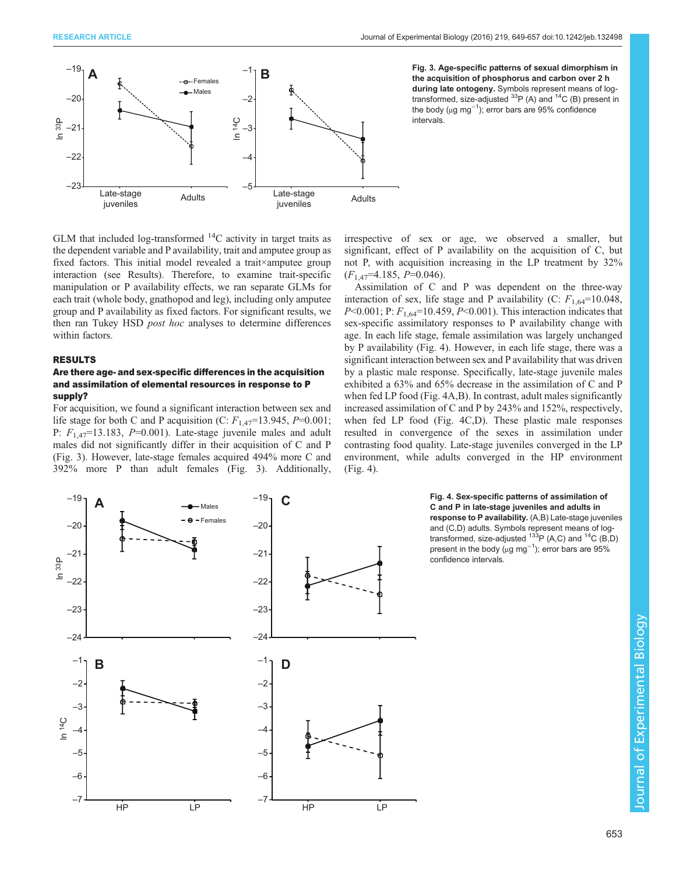<span id="page-4-0"></span>

Fig. 3. Age-specific patterns of sexual dimorphism in the acquisition of phosphorus and carbon over 2 h during late ontogeny. Symbols represent means of logtransformed, size-adjusted  $^{33}P$  (A) and  $^{14}C$  (B) present in the body (µg mg<sup>−1</sup>); error bars are 95% confidence intervals.

GLM that included log-transformed  $^{14}$ C activity in target traits as the dependent variable and P availability, trait and amputee group as fixed factors. This initial model revealed a trait×amputee group interaction (see Results). Therefore, to examine trait-specific manipulation or P availability effects, we ran separate GLMs for each trait (whole body, gnathopod and leg), including only amputee group and P availability as fixed factors. For significant results, we then ran Tukey HSD post hoc analyses to determine differences within factors.

#### RESULTS

#### Are there age- and sex-specific differences in the acquisition and assimilation of elemental resources in response to P supply?

For acquisition, we found a significant interaction between sex and life stage for both C and P acquisition (C:  $F_{1,47}$ =13.945, P=0.001; P:  $F_{1,47}$ =13.183, P=0.001). Late-stage juvenile males and adult males did not significantly differ in their acquisition of C and P (Fig. 3). However, late-stage females acquired 494% more C and 392% more P than adult females (Fig. 3). Additionally, irrespective of sex or age, we observed a smaller, but significant, effect of P availability on the acquisition of C, but not P, with acquisition increasing in the LP treatment by 32%  $(F<sub>1.47</sub>=4.185, P=0.046).$ 

Assimilation of C and P was dependent on the three-way interaction of sex, life stage and P availability (C:  $F_{1,64}$ =10.048,  $P<0.001$ ; P:  $F<sub>1.64</sub>=10.459$ ,  $P<0.001$ ). This interaction indicates that sex-specific assimilatory responses to P availability change with age. In each life stage, female assimilation was largely unchanged by P availability (Fig. 4). However, in each life stage, there was a significant interaction between sex and P availability that was driven by a plastic male response. Specifically, late-stage juvenile males exhibited a 63% and 65% decrease in the assimilation of C and P when fed LP food (Fig. 4A,B). In contrast, adult males significantly increased assimilation of C and P by 243% and 152%, respectively, when fed LP food (Fig. 4C,D). These plastic male responses resulted in convergence of the sexes in assimilation under contrasting food quality. Late-stage juveniles converged in the LP environment, while adults converged in the HP environment (Fig. 4).



Fig. 4. Sex-specific patterns of assimilation of C and P in late-stage juveniles and adults in response to P availability. (A,B) Late-stage juveniles and (C,D) adults. Symbols represent means of logtransformed, size-adjusted  $^{133}P$  (A,C) and  $^{14}C$  (B,D) present in the body ( $\mu$ g mg<sup>-1</sup>); error bars are 95% confidence intervals.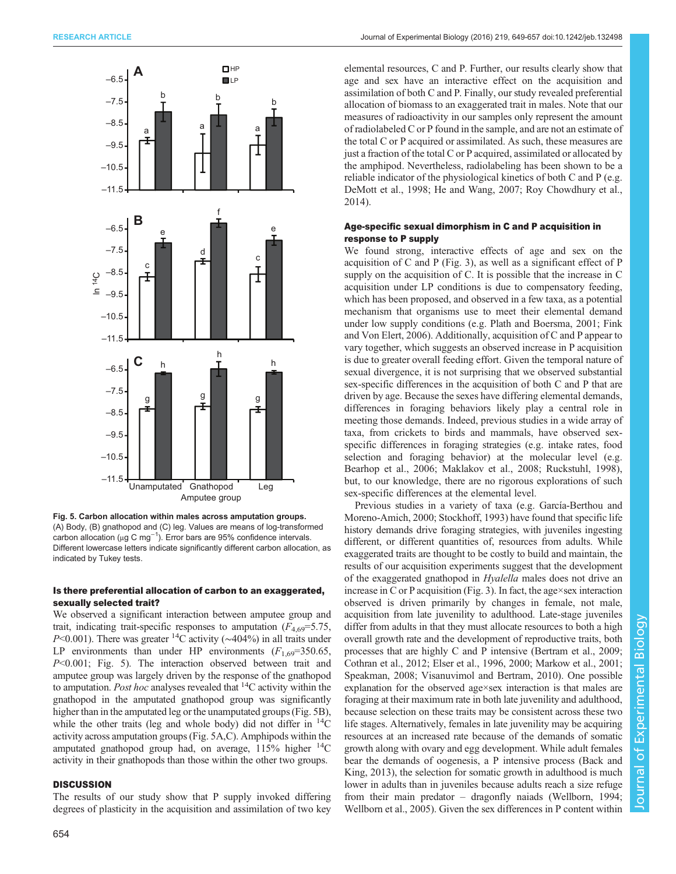<span id="page-5-0"></span>

Fig. 5. Carbon allocation within males across amputation groups. (A) Body, (B) gnathopod and (C) leg. Values are means of log-transformed carbon allocation ( $\mu$ g C mg<sup>-1</sup>). Error bars are 95% confidence intervals. Different lowercase letters indicate significantly different carbon allocation, as indicated by Tukey tests.

### Is there preferential allocation of carbon to an exaggerated, sexually selected trait?

We observed a significant interaction between amputee group and trait, indicating trait-specific responses to amputation  $(F_{4,69} = 5.75,$ P<0.001). There was greater <sup>14</sup>C activity (∼404%) in all traits under LP environments than under HP environments  $(F_{1,69}=350.65,$ P<0.001; Fig. 5). The interaction observed between trait and amputee group was largely driven by the response of the gnathopod to amputation. Post hoc analyses revealed that  ${}^{14}C$  activity within the gnathopod in the amputated gnathopod group was significantly higher than in the amputated leg or the unamputated groups (Fig. 5B), while the other traits (leg and whole body) did not differ in  $^{14}C$ activity across amputation groups (Fig. 5A,C). Amphipods within the amputated gnathopod group had, on average,  $115\%$  higher  $^{14}C$ activity in their gnathopods than those within the other two groups.

## **DISCUSSION**

The results of our study show that P supply invoked differing degrees of plasticity in the acquisition and assimilation of two key

elemental resources, C and P. Further, our results clearly show that age and sex have an interactive effect on the acquisition and assimilation of both C and P. Finally, our study revealed preferential allocation of biomass to an exaggerated trait in males. Note that our measures of radioactivity in our samples only represent the amount of radiolabeled C or P found in the sample, and are not an estimate of the total C or P acquired or assimilated. As such, these measures are just a fraction of the total C or P acquired, assimilated or allocated by the amphipod. Nevertheless, radiolabeling has been shown to be a reliable indicator of the physiological kinetics of both C and P (e.g. [DeMott et al., 1998; He and Wang, 2007;](#page-7-0) [Roy Chowdhury et al.,](#page-8-0) [2014\)](#page-8-0).

## Age-specific sexual dimorphism in C and P acquisition in response to P supply

We found strong, interactive effects of age and sex on the acquisition of C and P ([Fig. 3](#page-4-0)), as well as a significant effect of P supply on the acquisition of C. It is possible that the increase in C acquisition under LP conditions is due to compensatory feeding, which has been proposed, and observed in a few taxa, as a potential mechanism that organisms use to meet their elemental demand under low supply conditions (e.g. [Plath and Boersma, 2001; Fink](#page-7-0) [and Von Elert, 2006](#page-7-0)). Additionally, acquisition of C and P appear to vary together, which suggests an observed increase in P acquisition is due to greater overall feeding effort. Given the temporal nature of sexual divergence, it is not surprising that we observed substantial sex-specific differences in the acquisition of both C and P that are driven by age. Because the sexes have differing elemental demands, differences in foraging behaviors likely play a central role in meeting those demands. Indeed, previous studies in a wide array of taxa, from crickets to birds and mammals, have observed sexspecific differences in foraging strategies (e.g. intake rates, food selection and foraging behavior) at the molecular level (e.g. [Bearhop et al., 2006; Maklakov et al., 2008](#page-7-0); [Ruckstuhl, 1998\)](#page-8-0), but, to our knowledge, there are no rigorous explorations of such sex-specific differences at the elemental level.

Previous studies in a variety of taxa (e.g. [García-Berthou and](#page-7-0) [Moreno-Amich, 2000](#page-7-0); [Stockhoff, 1993](#page-8-0)) have found that specific life history demands drive foraging strategies, with juveniles ingesting different, or different quantities of, resources from adults. While exaggerated traits are thought to be costly to build and maintain, the results of our acquisition experiments suggest that the development of the exaggerated gnathopod in Hyalella males does not drive an increase in C or P acquisition [\(Fig. 3](#page-4-0)). In fact, the age×sex interaction observed is driven primarily by changes in female, not male, acquisition from late juvenility to adulthood. Late-stage juveniles differ from adults in that they must allocate resources to both a high overall growth rate and the development of reproductive traits, both processes that are highly C and P intensive [\(Bertram et al., 2009](#page-7-0); [Cothran et al., 2012; Elser et al., 1996, 2000; Markow et al., 2001](#page-7-0); [Speakman, 2008; Visanuvimol and Bertram, 2010](#page-8-0)). One possible explanation for the observed age×sex interaction is that males are foraging at their maximum rate in both late juvenility and adulthood, because selection on these traits may be consistent across these two life stages. Alternatively, females in late juvenility may be acquiring resources at an increased rate because of the demands of somatic growth along with ovary and egg development. While adult females bear the demands of oogenesis, a P intensive process ([Back and](#page-7-0) [King, 2013](#page-7-0)), the selection for somatic growth in adulthood is much lower in adults than in juveniles because adults reach a size refuge from their main predator – dragonfly naiads [\(Wellborn, 1994](#page-8-0); [Wellborn et al., 2005](#page-8-0)). Given the sex differences in P content within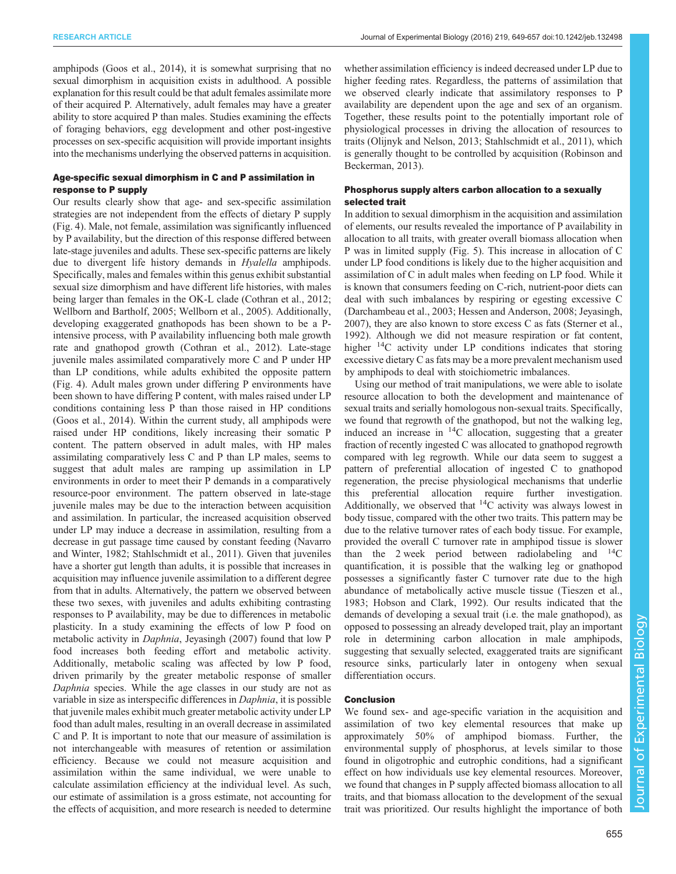amphipods ([Goos et al., 2014\)](#page-7-0), it is somewhat surprising that no sexual dimorphism in acquisition exists in adulthood. A possible explanation for this result could be that adult females assimilate more of their acquired P. Alternatively, adult females may have a greater ability to store acquired P than males. Studies examining the effects of foraging behaviors, egg development and other post-ingestive processes on sex-specific acquisition will provide important insights into the mechanisms underlying the observed patterns in acquisition.

### Age-specific sexual dimorphism in C and P assimilation in response to P supply

Our results clearly show that age- and sex-specific assimilation strategies are not independent from the effects of dietary P supply [\(Fig. 4\)](#page-4-0). Male, not female, assimilation was significantly influenced by P availability, but the direction of this response differed between late-stage juveniles and adults. These sex-specific patterns are likely due to divergent life history demands in *Hyalella* amphipods. Specifically, males and females within this genus exhibit substantial sexual size dimorphism and have different life histories, with males being larger than females in the OK-L clade [\(Cothran et al., 2012](#page-7-0); [Wellborn and Bartholf, 2005](#page-8-0); [Wellborn et al., 2005](#page-8-0)). Additionally, developing exaggerated gnathopods has been shown to be a Pintensive process, with P availability influencing both male growth rate and gnathopod growth ([Cothran et al., 2012](#page-7-0)). Late-stage juvenile males assimilated comparatively more C and P under HP than LP conditions, while adults exhibited the opposite pattern [\(Fig. 4\)](#page-4-0). Adult males grown under differing P environments have been shown to have differing P content, with males raised under LP conditions containing less P than those raised in HP conditions [\(Goos et al., 2014\)](#page-7-0). Within the current study, all amphipods were raised under HP conditions, likely increasing their somatic P content. The pattern observed in adult males, with HP males assimilating comparatively less C and P than LP males, seems to suggest that adult males are ramping up assimilation in LP environments in order to meet their P demands in a comparatively resource-poor environment. The pattern observed in late-stage juvenile males may be due to the interaction between acquisition and assimilation. In particular, the increased acquisition observed under LP may induce a decrease in assimilation, resulting from a decrease in gut passage time caused by constant feeding ([Navarro](#page-7-0) [and Winter, 1982;](#page-7-0) [Stahlschmidt et al., 2011](#page-8-0)). Given that juveniles have a shorter gut length than adults, it is possible that increases in acquisition may influence juvenile assimilation to a different degree from that in adults. Alternatively, the pattern we observed between these two sexes, with juveniles and adults exhibiting contrasting responses to P availability, may be due to differences in metabolic plasticity. In a study examining the effects of low P food on metabolic activity in Daphnia, [Jeyasingh \(2007\)](#page-7-0) found that low P food increases both feeding effort and metabolic activity. Additionally, metabolic scaling was affected by low P food, driven primarily by the greater metabolic response of smaller Daphnia species. While the age classes in our study are not as variable in size as interspecific differences in Daphnia, it is possible that juvenile males exhibit much greater metabolic activity under LP food than adult males, resulting in an overall decrease in assimilated C and P. It is important to note that our measure of assimilation is not interchangeable with measures of retention or assimilation efficiency. Because we could not measure acquisition and assimilation within the same individual, we were unable to calculate assimilation efficiency at the individual level. As such, our estimate of assimilation is a gross estimate, not accounting for the effects of acquisition, and more research is needed to determine

whether assimilation efficiency is indeed decreased under LP due to higher feeding rates. Regardless, the patterns of assimilation that we observed clearly indicate that assimilatory responses to P availability are dependent upon the age and sex of an organism. Together, these results point to the potentially important role of physiological processes in driving the allocation of resources to traits ([Olijnyk and Nelson, 2013](#page-7-0); [Stahlschmidt et al., 2011\)](#page-8-0), which is generally thought to be controlled by acquisition [\(Robinson and](#page-7-0) [Beckerman, 2013\)](#page-7-0).

#### Phosphorus supply alters carbon allocation to a sexually selected trait

In addition to sexual dimorphism in the acquisition and assimilation of elements, our results revealed the importance of P availability in allocation to all traits, with greater overall biomass allocation when P was in limited supply [\(Fig. 5](#page-5-0)). This increase in allocation of C under LP food conditions is likely due to the higher acquisition and assimilation of C in adult males when feeding on LP food. While it is known that consumers feeding on C-rich, nutrient-poor diets can deal with such imbalances by respiring or egesting excessive C [\(Darchambeau et al., 2003](#page-7-0); [Hessen and Anderson, 2008](#page-7-0); [Jeyasingh,](#page-7-0) [2007\)](#page-7-0), they are also known to store excess C as fats ([Sterner et al.,](#page-8-0) [1992\)](#page-8-0). Although we did not measure respiration or fat content, higher <sup>14</sup>C activity under LP conditions indicates that storing excessive dietary C as fats may be a more prevalent mechanism used by amphipods to deal with stoichiometric imbalances.

Using our method of trait manipulations, we were able to isolate resource allocation to both the development and maintenance of sexual traits and serially homologous non-sexual traits. Specifically, we found that regrowth of the gnathopod, but not the walking leg, induced an increase in  $^{14}$ C allocation, suggesting that a greater fraction of recently ingested C was allocated to gnathopod regrowth compared with leg regrowth. While our data seem to suggest a pattern of preferential allocation of ingested C to gnathopod regeneration, the precise physiological mechanisms that underlie this preferential allocation require further investigation. Additionally, we observed that  ${}^{14}$ C activity was always lowest in body tissue, compared with the other two traits. This pattern may be due to the relative turnover rates of each body tissue. For example, provided the overall C turnover rate in amphipod tissue is slower than the 2 week period between radiolabeling and  $^{14}$ C quantification, it is possible that the walking leg or gnathopod possesses a significantly faster C turnover rate due to the high abundance of metabolically active muscle tissue [\(Tieszen et al.,](#page-8-0) [1983;](#page-8-0) [Hobson and Clark, 1992](#page-7-0)). Our results indicated that the demands of developing a sexual trait (i.e. the male gnathopod), as opposed to possessing an already developed trait, play an important role in determining carbon allocation in male amphipods, suggesting that sexually selected, exaggerated traits are significant resource sinks, particularly later in ontogeny when sexual differentiation occurs.

## Conclusion

We found sex- and age-specific variation in the acquisition and assimilation of two key elemental resources that make up approximately 50% of amphipod biomass. Further, the environmental supply of phosphorus, at levels similar to those found in oligotrophic and eutrophic conditions, had a significant effect on how individuals use key elemental resources. Moreover, we found that changes in P supply affected biomass allocation to all traits, and that biomass allocation to the development of the sexual trait was prioritized. Our results highlight the importance of both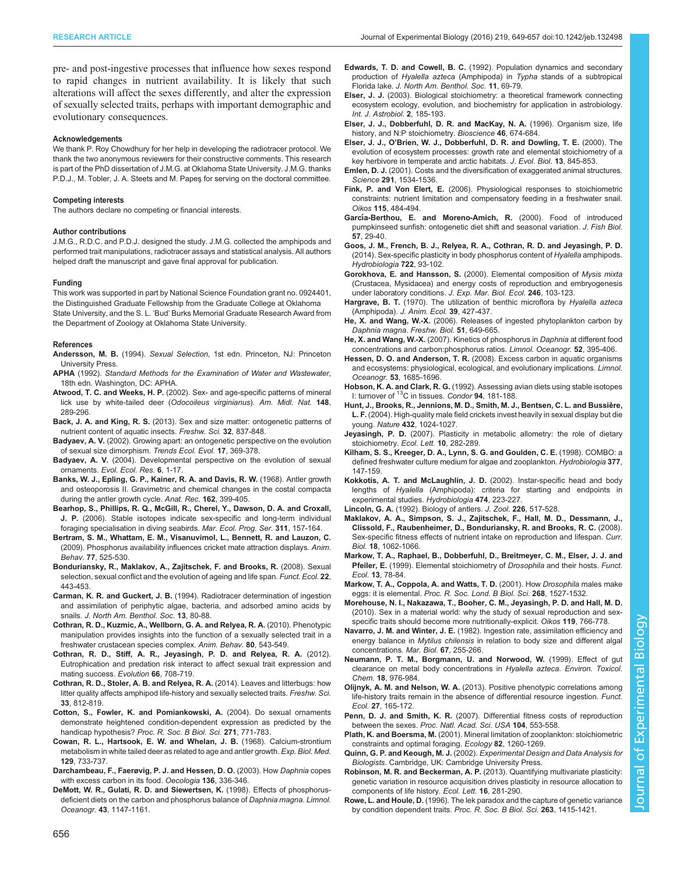<span id="page-7-0"></span>pre- and post-ingestive processes that influence how sexes respond to rapid changes in nutrient availability. It is likely that such alterations will affect the sexes differently, and alter the expression of sexually selected traits, perhaps with important demographic and evolutionary consequences.

#### Acknowledgements

We thank P. Roy Chowdhury for her help in developing the radiotracer protocol. We thank the two anonymous reviewers for their constructive comments. This research is part of the PhD dissertation of J.M.G. at Oklahoma State University. J.M.G. thanks P.D.J., M. Tobler, J. A. Steets and M. Papeş for serving on the doctoral committee.

#### Competing interests

The authors declare no competing or financial interests.

#### Author contributions

J.M.G., R.D.C. and P.D.J. designed the study. J.M.G. collected the amphipods and performed trait manipulations, radiotracer assays and statistical analysis. All authors helped draft the manuscript and gave final approval for publication.

#### Funding

This work was supported in part by National Science Foundation grant no. 0924401, the Distinguished Graduate Fellowship from the Graduate College at Oklahoma State University, and the S. L. 'Bud' Burks Memorial Graduate Research Award from the Department of Zoology at Oklahoma State University.

#### References

- Andersson, M. B. (1994). Sexual Selection, 1st edn. Princeton, NJ: Princeton University Press.
- APHA (1992). Standard Methods for the Examination of Water and Wastewater, 18th edn. Washington, DC: APHA.
- Atwood, T. C. and Weeks, H. P. [\(2002\). Sex- and age-specific patterns of mineral](http://dx.doi.org/10.1674/0003-0031(2002)148[0289:SAASPO]2.0.CO;2) [lick use by white-tailed deer \(](http://dx.doi.org/10.1674/0003-0031(2002)148[0289:SAASPO]2.0.CO;2)Odocoileus virginianus). Am. Midl. Nat. 148, [289-296.](http://dx.doi.org/10.1674/0003-0031(2002)148[0289:SAASPO]2.0.CO;2)
- Back, J. A. and King, R. S. [\(2013\). Sex and size matter: ontogenetic patterns of](http://dx.doi.org/10.1899/12-181.1) [nutrient content of aquatic insects.](http://dx.doi.org/10.1899/12-181.1) Freshw. Sci. 32, 837-848.
- Badyaev, A. V. [\(2002\). Growing apart: an ontogenetic perspective on the evolution](http://dx.doi.org/10.1016/S0169-5347(02)02569-7) [of sexual size dimorphism.](http://dx.doi.org/10.1016/S0169-5347(02)02569-7) Trends Ecol. Evol. 17, 369-378.
- Badyaev, A. V. (2004). Developmental perspective on the evolution of sexual ornaments. Evol. Ecol. Res. 6, 1-17.
- [Banks, W. J., Epling, G. P., Kainer, R. A. and Davis, R. W.](http://dx.doi.org/10.1002/ar.1091620402) (1968). Antler growth [and osteoporosis II. Gravimetric and chemical changes in the costal compacta](http://dx.doi.org/10.1002/ar.1091620402) [during the antler growth cycle.](http://dx.doi.org/10.1002/ar.1091620402) Anat. Rec. 162, 399-405.
- [Bearhop, S., Phillips, R. Q., McGill, R., Cherel, Y., Dawson, D. A. and Croxall,](http://dx.doi.org/10.3354/meps311157) J. P. [\(2006\). Stable isotopes indicate sex-specific and long-term individual](http://dx.doi.org/10.3354/meps311157) [foraging specialisation in diving seabirds.](http://dx.doi.org/10.3354/meps311157) Mar. Ecol. Prog. Ser. 311, 157-164.
- [Bertram, S. M., Whattam, E. M., Visanuvimol, L., Bennett, R. and Lauzon, C.](http://dx.doi.org/10.1016/j.anbehav.2008.11.012) [\(2009\). Phosphorus availability influences cricket mate attraction displays.](http://dx.doi.org/10.1016/j.anbehav.2008.11.012) Anim. Behav. 77[, 525-530.](http://dx.doi.org/10.1016/j.anbehav.2008.11.012)
- [Bonduriansky, R., Maklakov, A., Zajitschek, F. and Brooks, R.](http://dx.doi.org/10.1111/j.1365-2435.2008.01417.x) (2008). Sexual [selection, sexual conflict and the evolution of ageing and life span.](http://dx.doi.org/10.1111/j.1365-2435.2008.01417.x) Funct. Ecol. 22, [443-453.](http://dx.doi.org/10.1111/j.1365-2435.2008.01417.x)
- Carman, K. R. and Guckert, J. B. [\(1994\). Radiotracer determination of ingestion](http://dx.doi.org/10.2307/1467268) [and assimilation of periphytic algae, bacteria, and adsorbed amino acids by](http://dx.doi.org/10.2307/1467268) snails. [J. North Am. Benthol. Soc.](http://dx.doi.org/10.2307/1467268) 13, 80-88.
- [Cothran, R. D., Kuzmic, A., Wellborn, G. A. and Relyea, R. A.](http://dx.doi.org/10.1016/j.anbehav.2010.06.019) (2010). Phenotypic [manipulation provides insights into the function of a sexually selected trait in a](http://dx.doi.org/10.1016/j.anbehav.2010.06.019) [freshwater crustacean species complex.](http://dx.doi.org/10.1016/j.anbehav.2010.06.019) Anim. Behav. 80, 543-549.
- [Cothran, R. D., Stiff, A. R., Jeyasingh, P. D. and Relyea, R. A.](http://dx.doi.org/10.1111/j.1558-5646.2011.01475.x) (2012). [Eutrophication and predation risk interact to affect sexual trait expression and](http://dx.doi.org/10.1111/j.1558-5646.2011.01475.x) [mating success.](http://dx.doi.org/10.1111/j.1558-5646.2011.01475.x) Evolution 66, 708-719.
- [Cothran, R. D., Stoler, A. B. and Relyea, R. A.](http://dx.doi.org/10.1086/677214) (2014). Leaves and litterbugs: how [litter quality affects amphipod life-history and sexually selected traits.](http://dx.doi.org/10.1086/677214) Freshw. Sci. 33[, 812-819.](http://dx.doi.org/10.1086/677214)
- [Cotton, S., Fowler, K. and Pomiankowski, A.](http://dx.doi.org/10.1098/rspb.2004.2688) (2004). Do sexual ornaments [demonstrate heightened condition-dependent expression as predicted by the](http://dx.doi.org/10.1098/rspb.2004.2688) handicap hypothesis? [Proc. R. Soc. B Biol. Sci.](http://dx.doi.org/10.1098/rspb.2004.2688) 271, 771-783.
- [Cowan, R. L., Hartsook, E. W. and Whelan, J. B.](http://dx.doi.org/10.3181/00379727-129-33412) (1968). Calcium-strontium [metabolism in white tailed deer as related to age and antler growth.](http://dx.doi.org/10.3181/00379727-129-33412) Exp. Biol. Med. 129[, 733-737.](http://dx.doi.org/10.3181/00379727-129-33412)
- [Darchambeau, F., Faerøvig, P. J. and Hessen, D. O.](http://dx.doi.org/10.1007/s00442-003-1283-7) (2003). How Daphnia copes [with excess carbon in its food.](http://dx.doi.org/10.1007/s00442-003-1283-7) Oecologia 136, 336-346.
- [DeMott, W. R., Gulati, R. D. and Siewertsen, K.](http://dx.doi.org/10.4319/lo.1998.43.6.1147) (1998). Effects of phosphorus[deficient diets on the carbon and phosphorus balance of](http://dx.doi.org/10.4319/lo.1998.43.6.1147) Daphnia magna. Limnol. Oceanogr. 43[, 1147-1161.](http://dx.doi.org/10.4319/lo.1998.43.6.1147)
- Edwards, T. D. and Cowell, B. C. [\(1992\). Population dynamics and secondary](http://dx.doi.org/10.2307/1467883) production of Hyalella azteca (Amphipoda) in Typha [stands of a subtropical](http://dx.doi.org/10.2307/1467883) Florida lake. [J. North Am. Benthol. Soc.](http://dx.doi.org/10.2307/1467883) 11, 69-79.
- Elser, J. J. [\(2003\). Biological stoichiometry: a theoretical framework connecting](http://dx.doi.org/10.1017/S1473550403001563) [ecosystem ecology, evolution, and biochemistry for application in astrobiology.](http://dx.doi.org/10.1017/S1473550403001563) [Int. J. Astrobiol.](http://dx.doi.org/10.1017/S1473550403001563) 2, 185-193.
- [Elser, J. J., Dobberfuhl, D. R. and MacKay, N. A.](http://dx.doi.org/10.2307/1312897) (1996). Organism size, life [history, and N:P stoichiometry.](http://dx.doi.org/10.2307/1312897) Bioscience 46, 674-684.
- Elser, J. J., O'[Brien, W. J., Dobberfuhl, D. R. and Dowling, T. E.](http://dx.doi.org/10.1046/j.1420-9101.2000.00215.x) (2000). The [evolution of ecosystem processes: growth rate and elemental stoichiometry of a](http://dx.doi.org/10.1046/j.1420-9101.2000.00215.x) [key herbivore in temperate and arctic habitats.](http://dx.doi.org/10.1046/j.1420-9101.2000.00215.x) J. Evol. Biol. 13, 845-853.
- Emlen, D. J. [\(2001\). Costs and the diversification of exaggerated animal structures.](http://dx.doi.org/10.1126/science.1056607) Science 291[, 1534-1536.](http://dx.doi.org/10.1126/science.1056607)
- Fink, P. and Von Elert, E. [\(2006\). Physiological responses to stoichiometric](http://dx.doi.org/10.1111/j.2006.0030-1299.14951.x) [constraints: nutrient limitation and compensatory feeding in a freshwater snail.](http://dx.doi.org/10.1111/j.2006.0030-1299.14951.x) Oikos 115[, 484-494.](http://dx.doi.org/10.1111/j.2006.0030-1299.14951.x)
- Garcí[a-Berthou, E. and Moreno-Amich, R.](http://dx.doi.org/10.1111/j.1095-8649.2000.tb00773.x) (2000). Food of introduced [pumpkinseed sunfish: ontogenetic diet shift and seasonal variation.](http://dx.doi.org/10.1111/j.1095-8649.2000.tb00773.x) J. Fish Biol. 57[, 29-40.](http://dx.doi.org/10.1111/j.1095-8649.2000.tb00773.x)
- [Goos, J. M., French, B. J., Relyea, R. A., Cothran, R. D. and Jeyasingh, P. D.](http://dx.doi.org/10.1007/s10750-013-1682-7) [\(2014\). Sex-specific plasticity in body phosphorus content of](http://dx.doi.org/10.1007/s10750-013-1682-7) Hyalella amphipods. [Hydrobiologia](http://dx.doi.org/10.1007/s10750-013-1682-7) 722, 93-102.
- [Gorokhova, E. and Hansson, S.](http://dx.doi.org/10.1016/S0022-0981(99)00173-2) (2000). Elemental composition of Mysis mixta [\(Crustacea, Mysidacea\) and energy costs of reproduction and embryogenesis](http://dx.doi.org/10.1016/S0022-0981(99)00173-2) [under laboratory conditions.](http://dx.doi.org/10.1016/S0022-0981(99)00173-2) J. Exp. Mar. Biol. Ecol. 246, 103-123.
- Hargrave, B. T. [\(1970\). The utilization of benthic microflora by](http://dx.doi.org/10.2307/2980) Hyalella azteca (Amphipoda). [J. Anim. Ecol.](http://dx.doi.org/10.2307/2980) 39, 427-437.
- He, X. and Wang, W.-X. [\(2006\). Releases of ingested phytoplankton carbon by](http://dx.doi.org/10.1111/j.1365-2427.2006.01519.x) [Daphnia magna](http://dx.doi.org/10.1111/j.1365-2427.2006.01519.x). Freshw. Biol. 51, 649-665.
- He, X. and Wang, W.-X. [\(2007\). Kinetics of phosphorus in](http://dx.doi.org/10.4319/lo.2007.52.1.0395) Daphnia at different food [concentrations and carbon:phosphorus ratios.](http://dx.doi.org/10.4319/lo.2007.52.1.0395) Limnol. Oceanogr. 52, 395-406.
- Hessen, D. O. and Anderson, T. R. [\(2008\). Excess carbon in aquatic organisms](http://dx.doi.org/10.4319/lo.2008.53.4.1685) [and ecosystems: physiological, ecological, and evolutionary implications.](http://dx.doi.org/10.4319/lo.2008.53.4.1685) Limnol. Oceanogr. 53[, 1685-1696.](http://dx.doi.org/10.4319/lo.2008.53.4.1685)
- Hobson, K. A. and Clark, R. G. [\(1992\). Assessing avian diets using stable isotopes](http://dx.doi.org/10.2307/1368807) [I:](http://dx.doi.org/10.2307/1368807) [turnover](http://dx.doi.org/10.2307/1368807) [of](http://dx.doi.org/10.2307/1368807) <sup>13</sup>C in tissues. Condor 94, 181-188.
- Hunt, J., Brooks, R., Jennions, M. D., Smith, M. J., Bentsen, C. L. and Bussière, L. F. [\(2004\). High-quality male field crickets invest heavily in sexual display but die](http://dx.doi.org/10.1038/nature03084) young. Nature 432[, 1024-1027.](http://dx.doi.org/10.1038/nature03084)
- Jeyasingh, P. D. [\(2007\). Plasticity in metabolic allometry: the role of dietary](http://dx.doi.org/10.1111/j.1461-0248.2007.01023.x) [stoichiometry.](http://dx.doi.org/10.1111/j.1461-0248.2007.01023.x) Ecol. Lett. 10, 282-289.
- [Kilham, S. S., Kreeger, D. A., Lynn, S. G. and Goulden, C. E.](http://dx.doi.org/10.1023/A:1003231628456) (1998). COMBO: a [defined freshwater culture medium for algae and zooplankton.](http://dx.doi.org/10.1023/A:1003231628456) Hydrobiologia 377, [147-159.](http://dx.doi.org/10.1023/A:1003231628456)
- [Kokkotis, A. T. and McLaughlin, J. D.](http://dx.doi.org/10.1023/A:1016548207629) (2002). Instar-specific head and body lengths of Hyalella [\(Amphipoda\): criteria for starting and endpoints in](http://dx.doi.org/10.1023/A:1016548207629) [experimental studies.](http://dx.doi.org/10.1023/A:1016548207629) Hydrobiologia 474, 223-227.
- Lincoln, G. A. [\(1992\). Biology of antlers.](http://dx.doi.org/10.1111/j.1469-7998.1992.tb07495.x) J. Zool. 226, 517-528.
- [Maklakov, A. A., Simpson, S. J., Zajitschek, F., Hall, M. D., Dessmann, J.,](http://dx.doi.org/10.1016/j.cub.2008.06.059) [Clissold, F., Raubenheimer, D., Bonduriansky, R. and Brooks, R. C.](http://dx.doi.org/10.1016/j.cub.2008.06.059) (2008). [Sex-specific fitness effects of nutrient intake on reproduction and lifespan.](http://dx.doi.org/10.1016/j.cub.2008.06.059) Curr. Biol. 18[, 1062-1066.](http://dx.doi.org/10.1016/j.cub.2008.06.059)
- [Markow, T. A., Raphael, B., Dobberfuhl, D., Breitmeyer, C. M., Elser, J. J. and](http://dx.doi.org/10.1046/j.1365-2435.1999.00285.x) Pfeiler, E. [\(1999\). Elemental stoichiometry of](http://dx.doi.org/10.1046/j.1365-2435.1999.00285.x) Drosophila and their hosts. Funct. Ecol. 13[, 78-84.](http://dx.doi.org/10.1046/j.1365-2435.1999.00285.x)
- [Markow, T. A., Coppola, A. and Watts, T. D.](http://dx.doi.org/10.1098/rspb.2001.1673) (2001). How Drosophila males make eggs: it is elemental. [Proc. R. Soc. Lond. B Biol. Sci.](http://dx.doi.org/10.1098/rspb.2001.1673) 268, 1527-1532.
- [Morehouse, N. I., Nakazawa, T., Booher, C. M., Jeyasingh, P. D. and Hall, M. D.](http://dx.doi.org/10.1111/j.1600-0706.2009.18569.x) [\(2010\). Sex in a material world: why the study of sexual reproduction and sex](http://dx.doi.org/10.1111/j.1600-0706.2009.18569.x)[specific traits should become more nutritionally-explicit.](http://dx.doi.org/10.1111/j.1600-0706.2009.18569.x) Oikos 119, 766-778.
- Navarro, J. M. and Winter, J. E. [\(1982\). Ingestion rate, assimilation efficiency and](http://dx.doi.org/10.1007/BF00397666) energy balance in Mytilus chilensis [in relation to body size and different algal](http://dx.doi.org/10.1007/BF00397666) [concentrations.](http://dx.doi.org/10.1007/BF00397666) Mar. Biol. 67, 255-266.
- [Neumann, P. T. M., Borgmann, U. and Norwood, W.](http://dx.doi.org/10.1897/1551-5028(1999)018<0976:eogcom>2.3.co;2) (1999). Effect of gut [clearance on metal body concentrations in](http://dx.doi.org/10.1897/1551-5028(1999)018<0976:eogcom>2.3.co;2) Hyalella azteca. Environ. Toxicol. Chem. 18[, 976-984.](http://dx.doi.org/10.1897/1551-5028(1999)018<0976:eogcom>2.3.co;2)
- Olijnyk, A. M. and Nelson, W. A. [\(2013\). Positive phenotypic correlations among](http://dx.doi.org/10.1111/1365-2435.12015) [life-history traits remain in the absence of differential resource ingestion.](http://dx.doi.org/10.1111/1365-2435.12015) Funct. Ecol. 27[, 165-172.](http://dx.doi.org/10.1111/1365-2435.12015)
- Penn, D. J. and Smith, K. R. [\(2007\). Differential fitness costs of reproduction](http://dx.doi.org/10.1073/pnas.0609301103) between the sexes. [Proc. Natl. Acad. Sci. USA](http://dx.doi.org/10.1073/pnas.0609301103) 104, 553-558.
- Plath, K. and Boersma, M. [\(2001\). Mineral limitation of zooplankton: stoichiometric](http://dx.doi.org/10.1890/0012-9658(2001)082[1260:MLOZSC]2.0.CO;2) [constraints and optimal foraging.](http://dx.doi.org/10.1890/0012-9658(2001)082[1260:MLOZSC]2.0.CO;2) Ecology 82, 1260-1269.
- Quinn, G. P. and Keough, M. J. (2002). Experimental Design and Data Analysis for Biologists. Cambridge, UK: Cambridge University Press.
- Robinson, M. R. and Beckerman, A. P. [\(2013\). Quantifying multivariate plasticity:](http://dx.doi.org/10.1111/ele.12047) [genetic variation in resource acquisition drives plasticity in resource allocation to](http://dx.doi.org/10.1111/ele.12047) [components of life history.](http://dx.doi.org/10.1111/ele.12047) Ecol. Lett. 16, 281-290.
- Rowe, L. and Houle, D. [\(1996\). The lek paradox and the capture of genetic variance](http://dx.doi.org/10.1098/rspb.1996.0207) [by condition dependent traits.](http://dx.doi.org/10.1098/rspb.1996.0207) Proc. R. Soc. B Biol. Sci. 263, 1415-1421.